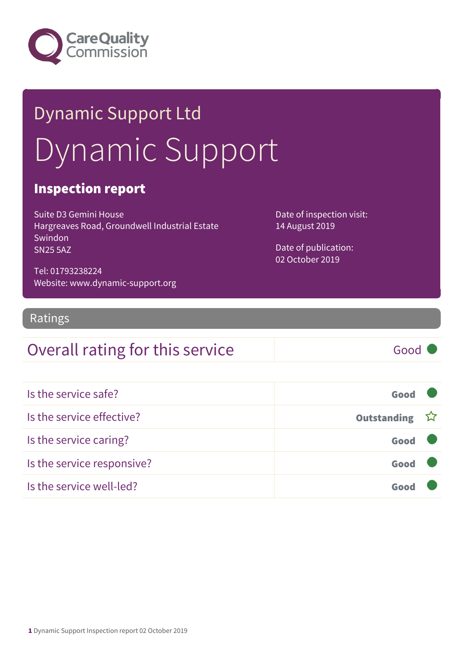

# Dynamic Support Ltd Dynamic Support

### Inspection report

Suite D3 Gemini House Hargreaves Road, Groundwell Industrial Estate Swindon SN25 5AZ

Date of inspection visit: 14 August 2019

Date of publication: 02 October 2019

Tel: 01793238224 Website: www.dynamic-support.org

### Ratings

### Overall rating for this service Good

| Is the service safe?       | Good          |  |
|----------------------------|---------------|--|
| Is the service effective?  | Outstanding ☆ |  |
| Is the service caring?     | Good          |  |
| Is the service responsive? | Good          |  |
| Is the service well-led?   |               |  |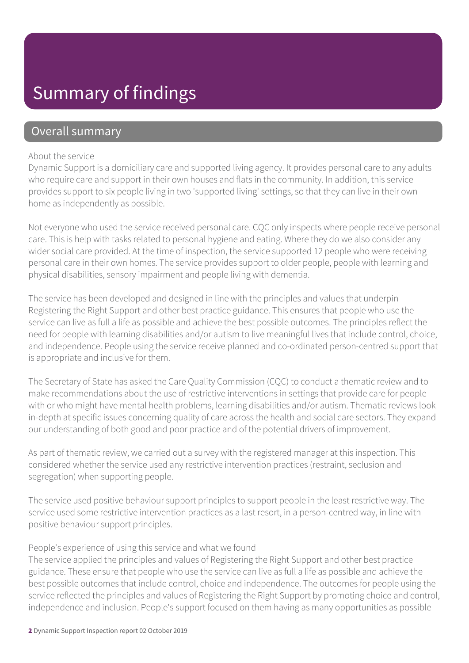### Summary of findings

### Overall summary

#### About the service

Dynamic Support is a domiciliary care and supported living agency. It provides personal care to any adults who require care and support in their own houses and flats in the community. In addition, this service provides support to six people living in two 'supported living' settings, so that they can live in their own home as independently as possible.

Not everyone who used the service received personal care. CQC only inspects where people receive personal care. This is help with tasks related to personal hygiene and eating. Where they do we also consider any wider social care provided. At the time of inspection, the service supported 12 people who were receiving personal care in their own homes. The service provides support to older people, people with learning and physical disabilities, sensory impairment and people living with dementia.

The service has been developed and designed in line with the principles and values that underpin Registering the Right Support and other best practice guidance. This ensures that people who use the service can live as full a life as possible and achieve the best possible outcomes. The principles reflect the need for people with learning disabilities and/or autism to live meaningful lives that include control, choice, and independence. People using the service receive planned and co-ordinated person-centred support that is appropriate and inclusive for them.

The Secretary of State has asked the Care Quality Commission (CQC) to conduct a thematic review and to make recommendations about the use of restrictive interventions in settings that provide care for people with or who might have mental health problems, learning disabilities and/or autism. Thematic reviews look in-depth at specific issues concerning quality of care across the health and social care sectors. They expand our understanding of both good and poor practice and of the potential drivers of improvement.

As part of thematic review, we carried out a survey with the registered manager at this inspection. This considered whether the service used any restrictive intervention practices (restraint, seclusion and segregation) when supporting people.

The service used positive behaviour support principles to support people in the least restrictive way. The service used some restrictive intervention practices as a last resort, in a person-centred way, in line with positive behaviour support principles.

#### People's experience of using this service and what we found

The service applied the principles and values of Registering the Right Support and other best practice guidance. These ensure that people who use the service can live as full a life as possible and achieve the best possible outcomes that include control, choice and independence. The outcomes for people using the service reflected the principles and values of Registering the Right Support by promoting choice and control, independence and inclusion. People's support focused on them having as many opportunities as possible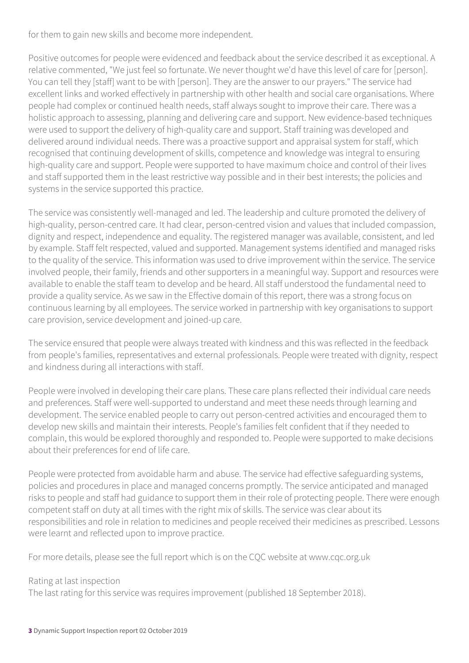for them to gain new skills and become more independent.

Positive outcomes for people were evidenced and feedback about the service described it as exceptional. A relative commented, "We just feel so fortunate. We never thought we'd have this level of care for [person]. You can tell they [staff] want to be with [person]. They are the answer to our prayers." The service had excellent links and worked effectively in partnership with other health and social care organisations. Where people had complex or continued health needs, staff always sought to improve their care. There was a holistic approach to assessing, planning and delivering care and support. New evidence-based techniques were used to support the delivery of high-quality care and support. Staff training was developed and delivered around individual needs. There was a proactive support and appraisal system for staff, which recognised that continuing development of skills, competence and knowledge was integral to ensuring high-quality care and support. People were supported to have maximum choice and control of their lives and staff supported them in the least restrictive way possible and in their best interests; the policies and systems in the service supported this practice.

The service was consistently well-managed and led. The leadership and culture promoted the delivery of high-quality, person-centred care. It had clear, person-centred vision and values that included compassion, dignity and respect, independence and equality. The registered manager was available, consistent, and led by example. Staff felt respected, valued and supported. Management systems identified and managed risks to the quality of the service. This information was used to drive improvement within the service. The service involved people, their family, friends and other supporters in a meaningful way. Support and resources were available to enable the staff team to develop and be heard. All staff understood the fundamental need to provide a quality service. As we saw in the Effective domain of this report, there was a strong focus on continuous learning by all employees. The service worked in partnership with key organisations to support care provision, service development and joined-up care.

The service ensured that people were always treated with kindness and this was reflected in the feedback from people's families, representatives and external professionals. People were treated with dignity, respect and kindness during all interactions with staff.

People were involved in developing their care plans. These care plans reflected their individual care needs and preferences. Staff were well-supported to understand and meet these needs through learning and development. The service enabled people to carry out person-centred activities and encouraged them to develop new skills and maintain their interests. People's families felt confident that if they needed to complain, this would be explored thoroughly and responded to. People were supported to make decisions about their preferences for end of life care.

People were protected from avoidable harm and abuse. The service had effective safeguarding systems, policies and procedures in place and managed concerns promptly. The service anticipated and managed risks to people and staff had guidance to support them in their role of protecting people. There were enough competent staff on duty at all times with the right mix of skills. The service was clear about its responsibilities and role in relation to medicines and people received their medicines as prescribed. Lessons were learnt and reflected upon to improve practice.

For more details, please see the full report which is on the CQC website at www.cqc.org.uk

#### Rating at last inspection

The last rating for this service was requires improvement (published 18 September 2018).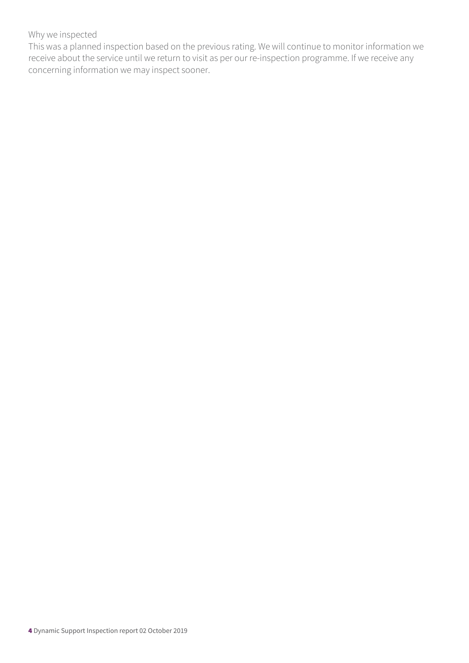#### Why we inspected

This was a planned inspection based on the previous rating. We will continue to monitor information we receive about the service until we return to visit as per our re-inspection programme. If we receive any concerning information we may inspect sooner.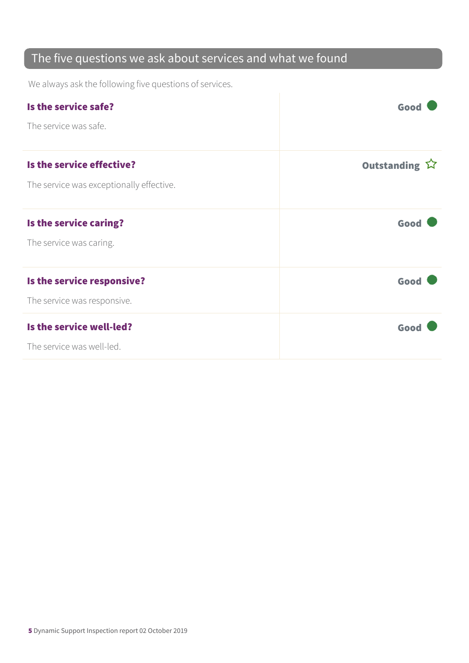### The five questions we ask about services and what we found

We always ask the following five questions of services.

| Is the service safe?<br>The service was safe.                         | Good          |
|-----------------------------------------------------------------------|---------------|
| Is the service effective?<br>The service was exceptionally effective. | Outstanding ☆ |
| Is the service caring?<br>The service was caring.                     | Good          |
| Is the service responsive?<br>The service was responsive.             | Good          |
| Is the service well-led?<br>The service was well-led.                 | Good          |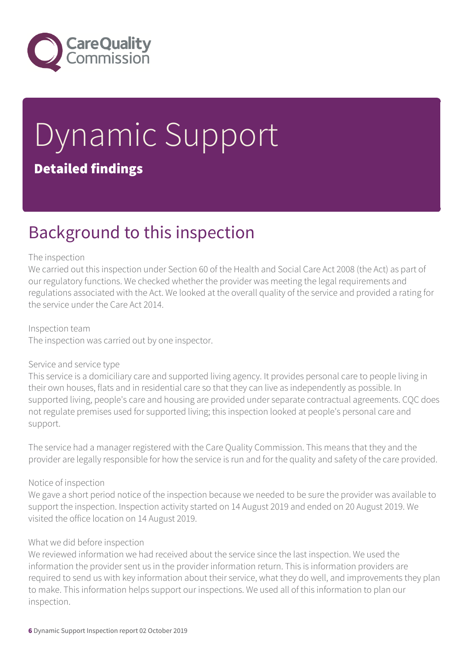

# Dynamic Support Detailed findings

### Background to this inspection

#### The inspection

We carried out this inspection under Section 60 of the Health and Social Care Act 2008 (the Act) as part of our regulatory functions. We checked whether the provider was meeting the legal requirements and regulations associated with the Act. We looked at the overall quality of the service and provided a rating for the service under the Care Act 2014.

Inspection team The inspection was carried out by one inspector.

#### Service and service type

This service is a domiciliary care and supported living agency. It provides personal care to people living in their own houses, flats and in residential care so that they can live as independently as possible. In supported living, people's care and housing are provided under separate contractual agreements. CQC does not regulate premises used for supported living; this inspection looked at people's personal care and support.

The service had a manager registered with the Care Quality Commission. This means that they and the provider are legally responsible for how the service is run and for the quality and safety of the care provided.

#### Notice of inspection

We gave a short period notice of the inspection because we needed to be sure the provider was available to support the inspection. Inspection activity started on 14 August 2019 and ended on 20 August 2019. We visited the office location on 14 August 2019.

#### What we did before inspection

We reviewed information we had received about the service since the last inspection. We used the information the provider sent us in the provider information return. This is information providers are required to send us with key information about their service, what they do well, and improvements they plan to make. This information helps support our inspections. We used all of this information to plan our inspection.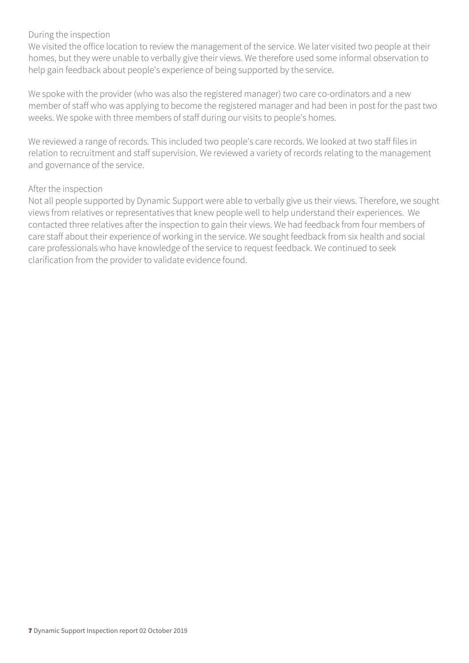#### During the inspection

We visited the office location to review the management of the service. We later visited two people at their homes, but they were unable to verbally give their views. We therefore used some informal observation to help gain feedback about people's experience of being supported by the service.

We spoke with the provider (who was also the registered manager) two care co-ordinators and a new member of staff who was applying to become the registered manager and had been in post for the past two weeks. We spoke with three members of staff during our visits to people's homes.

We reviewed a range of records. This included two people's care records. We looked at two staff files in relation to recruitment and staff supervision. We reviewed a variety of records relating to the management and governance of the service.

#### After the inspection

Not all people supported by Dynamic Support were able to verbally give us their views. Therefore, we sought views from relatives or representatives that knew people well to help understand their experiences. We contacted three relatives after the inspection to gain their views. We had feedback from four members of care staff about their experience of working in the service. We sought feedback from six health and social care professionals who have knowledge of the service to request feedback. We continued to seek clarification from the provider to validate evidence found.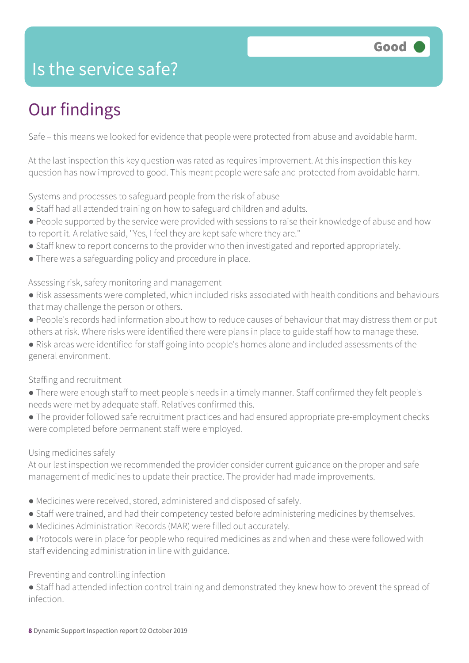### Is the service safe?

# Our findings

Safe – this means we looked for evidence that people were protected from abuse and avoidable harm.

At the last inspection this key question was rated as requires improvement. At this inspection this key question has now improved to good. This meant people were safe and protected from avoidable harm.

Systems and processes to safeguard people from the risk of abuse

- Staff had all attended training on how to safeguard children and adults.
- People supported by the service were provided with sessions to raise their knowledge of abuse and how to report it. A relative said, "Yes, I feel they are kept safe where they are."
- Staff knew to report concerns to the provider who then investigated and reported appropriately.
- There was a safeguarding policy and procedure in place.

#### Assessing risk, safety monitoring and management

- Risk assessments were completed, which included risks associated with health conditions and behaviours that may challenge the person or others.
- People's records had information about how to reduce causes of behaviour that may distress them or put others at risk. Where risks were identified there were plans in place to guide staff how to manage these.
- Risk areas were identified for staff going into people's homes alone and included assessments of the general environment.

#### Staffing and recruitment

- There were enough staff to meet people's needs in a timely manner. Staff confirmed they felt people's needs were met by adequate staff. Relatives confirmed this.
- The provider followed safe recruitment practices and had ensured appropriate pre-employment checks were completed before permanent staff were employed.

#### Using medicines safely

At our last inspection we recommended the provider consider current guidance on the proper and safe management of medicines to update their practice. The provider had made improvements.

- Medicines were received, stored, administered and disposed of safely.
- Staff were trained, and had their competency tested before administering medicines by themselves.
- Medicines Administration Records (MAR) were filled out accurately.
- Protocols were in place for people who required medicines as and when and these were followed with staff evidencing administration in line with guidance.

#### Preventing and controlling infection

● Staff had attended infection control training and demonstrated they knew how to prevent the spread of infection.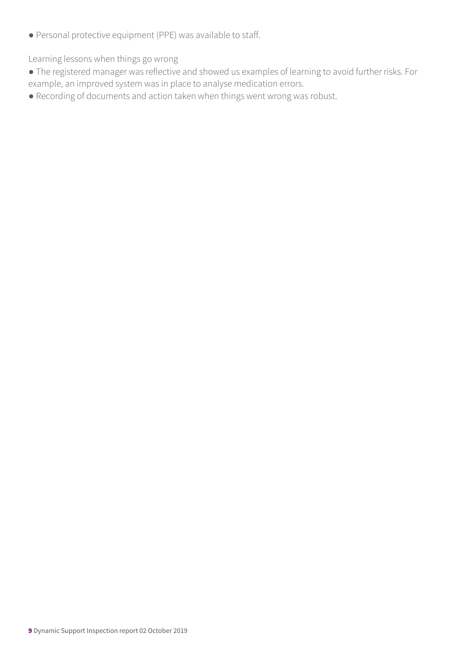● Personal protective equipment (PPE) was available to staff.

Learning lessons when things go wrong

- The registered manager was reflective and showed us examples of learning to avoid further risks. For example, an improved system was in place to analyse medication errors.
- Recording of documents and action taken when things went wrong was robust.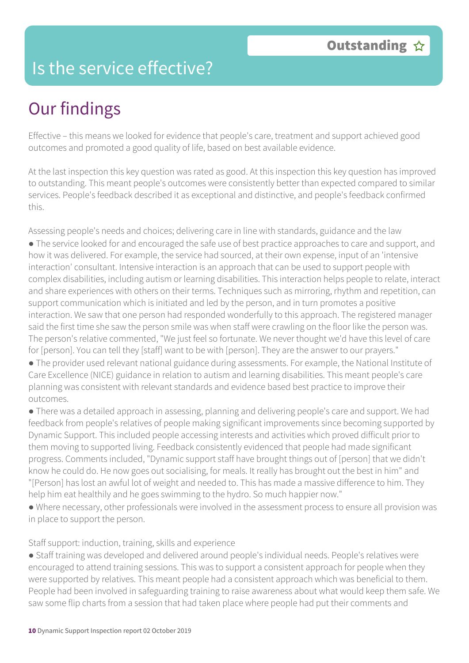### Is the service effective?

## Our findings

Effective – this means we looked for evidence that people's care, treatment and support achieved good outcomes and promoted a good quality of life, based on best available evidence.

At the last inspection this key question was rated as good. At this inspection this key question has improved to outstanding. This meant people's outcomes were consistently better than expected compared to similar services. People's feedback described it as exceptional and distinctive, and people's feedback confirmed this.

Assessing people's needs and choices; delivering care in line with standards, guidance and the law

● The service looked for and encouraged the safe use of best practice approaches to care and support, and how it was delivered. For example, the service had sourced, at their own expense, input of an 'intensive interaction' consultant. Intensive interaction is an approach that can be used to support people with complex disabilities, including autism or learning disabilities. This interaction helps people to relate, interact and share experiences with others on their terms. Techniques such as mirroring, rhythm and repetition, can support communication which is initiated and led by the person, and in turn promotes a positive interaction. We saw that one person had responded wonderfully to this approach. The registered manager said the first time she saw the person smile was when staff were crawling on the floor like the person was. The person's relative commented, "We just feel so fortunate. We never thought we'd have this level of care for [person]. You can tell they [staff] want to be with [person]. They are the answer to our prayers."

● The provider used relevant national guidance during assessments. For example, the National Institute of Care Excellence (NICE) guidance in relation to autism and learning disabilities. This meant people's care planning was consistent with relevant standards and evidence based best practice to improve their outcomes.

● There was a detailed approach in assessing, planning and delivering people's care and support. We had feedback from people's relatives of people making significant improvements since becoming supported by Dynamic Support. This included people accessing interests and activities which proved difficult prior to them moving to supported living. Feedback consistently evidenced that people had made significant progress. Comments included, "Dynamic support staff have brought things out of [person] that we didn't know he could do. He now goes out socialising, for meals. It really has brought out the best in him" and "[Person] has lost an awful lot of weight and needed to. This has made a massive difference to him. They help him eat healthily and he goes swimming to the hydro. So much happier now."

● Where necessary, other professionals were involved in the assessment process to ensure all provision was in place to support the person.

Staff support: induction, training, skills and experience

● Staff training was developed and delivered around people's individual needs. People's relatives were encouraged to attend training sessions. This was to support a consistent approach for people when they were supported by relatives. This meant people had a consistent approach which was beneficial to them. People had been involved in safeguarding training to raise awareness about what would keep them safe. We saw some flip charts from a session that had taken place where people had put their comments and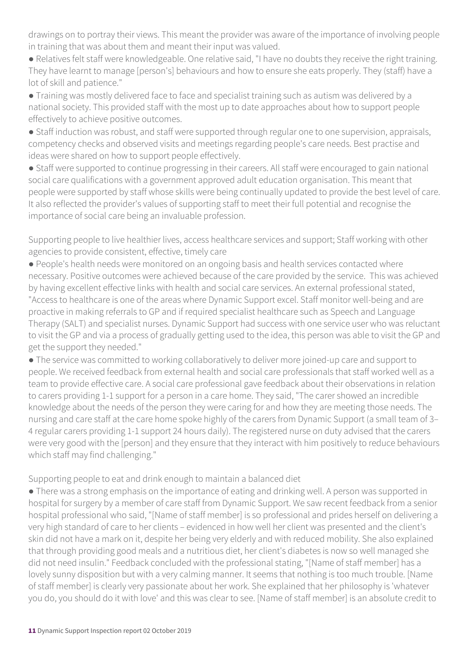drawings on to portray their views. This meant the provider was aware of the importance of involving people in training that was about them and meant their input was valued.

● Relatives felt staff were knowledgeable. One relative said, "I have no doubts they receive the right training. They have learnt to manage [person's] behaviours and how to ensure she eats properly. They (staff) have a lot of skill and patience."

● Training was mostly delivered face to face and specialist training such as autism was delivered by a national society. This provided staff with the most up to date approaches about how to support people effectively to achieve positive outcomes.

● Staff induction was robust, and staff were supported through regular one to one supervision, appraisals, competency checks and observed visits and meetings regarding people's care needs. Best practise and ideas were shared on how to support people effectively.

● Staff were supported to continue progressing in their careers. All staff were encouraged to gain national social care qualifications with a government approved adult education organisation. This meant that people were supported by staff whose skills were being continually updated to provide the best level of care. It also reflected the provider's values of supporting staff to meet their full potential and recognise the importance of social care being an invaluable profession.

Supporting people to live healthier lives, access healthcare services and support; Staff working with other agencies to provide consistent, effective, timely care

● People's health needs were monitored on an ongoing basis and health services contacted where necessary. Positive outcomes were achieved because of the care provided by the service. This was achieved by having excellent effective links with health and social care services. An external professional stated, "Access to healthcare is one of the areas where Dynamic Support excel. Staff monitor well-being and are proactive in making referrals to GP and if required specialist healthcare such as Speech and Language Therapy (SALT) and specialist nurses. Dynamic Support had success with one service user who was reluctant to visit the GP and via a process of gradually getting used to the idea, this person was able to visit the GP and get the support they needed."

● The service was committed to working collaboratively to deliver more joined-up care and support to people. We received feedback from external health and social care professionals that staff worked well as a team to provide effective care. A social care professional gave feedback about their observations in relation to carers providing 1-1 support for a person in a care home. They said, "The carer showed an incredible knowledge about the needs of the person they were caring for and how they are meeting those needs. The nursing and care staff at the care home spoke highly of the carers from Dynamic Support (a small team of 3– 4 regular carers providing 1-1 support 24 hours daily). The registered nurse on duty advised that the carers were very good with the [person] and they ensure that they interact with him positively to reduce behaviours which staff may find challenging."

Supporting people to eat and drink enough to maintain a balanced diet

● There was a strong emphasis on the importance of eating and drinking well. A person was supported in hospital for surgery by a member of care staff from Dynamic Support. We saw recent feedback from a senior hospital professional who said, "[Name of staff member] is so professional and prides herself on delivering a very high standard of care to her clients – evidenced in how well her client was presented and the client's skin did not have a mark on it, despite her being very elderly and with reduced mobility. She also explained that through providing good meals and a nutritious diet, her client's diabetes is now so well managed she did not need insulin." Feedback concluded with the professional stating, "[Name of staff member] has a lovely sunny disposition but with a very calming manner. It seems that nothing is too much trouble. [Name of staff member] is clearly very passionate about her work. She explained that her philosophy is 'whatever you do, you should do it with love' and this was clear to see. [Name of staff member] is an absolute credit to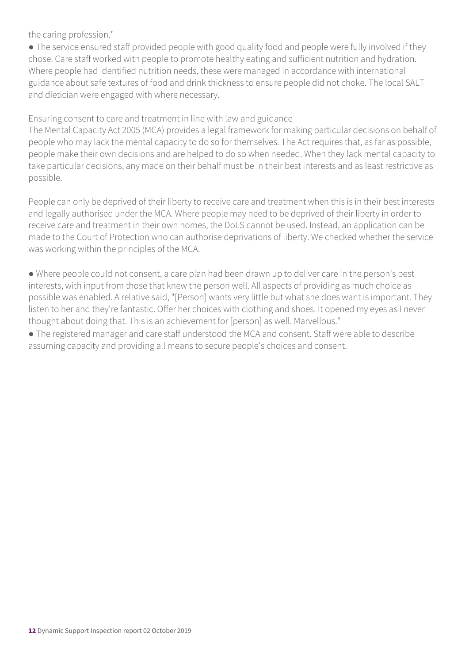the caring profession."

• The service ensured staff provided people with good quality food and people were fully involved if they chose. Care staff worked with people to promote healthy eating and sufficient nutrition and hydration. Where people had identified nutrition needs, these were managed in accordance with international guidance about safe textures of food and drink thickness to ensure people did not choke. The local SALT and dietician were engaged with where necessary.

Ensuring consent to care and treatment in line with law and guidance

The Mental Capacity Act 2005 (MCA) provides a legal framework for making particular decisions on behalf of people who may lack the mental capacity to do so for themselves. The Act requires that, as far as possible, people make their own decisions and are helped to do so when needed. When they lack mental capacity to take particular decisions, any made on their behalf must be in their best interests and as least restrictive as possible.

People can only be deprived of their liberty to receive care and treatment when this is in their best interests and legally authorised under the MCA. Where people may need to be deprived of their liberty in order to receive care and treatment in their own homes, the DoLS cannot be used. Instead, an application can be made to the Court of Protection who can authorise deprivations of liberty. We checked whether the service was working within the principles of the MCA.

● Where people could not consent, a care plan had been drawn up to deliver care in the person's best interests, with input from those that knew the person well. All aspects of providing as much choice as possible was enabled. A relative said, "[Person] wants very little but what she does want is important. They listen to her and they're fantastic. Offer her choices with clothing and shoes. It opened my eyes as I never thought about doing that. This is an achievement for [person] as well. Marvellous."

● The registered manager and care staff understood the MCA and consent. Staff were able to describe assuming capacity and providing all means to secure people's choices and consent.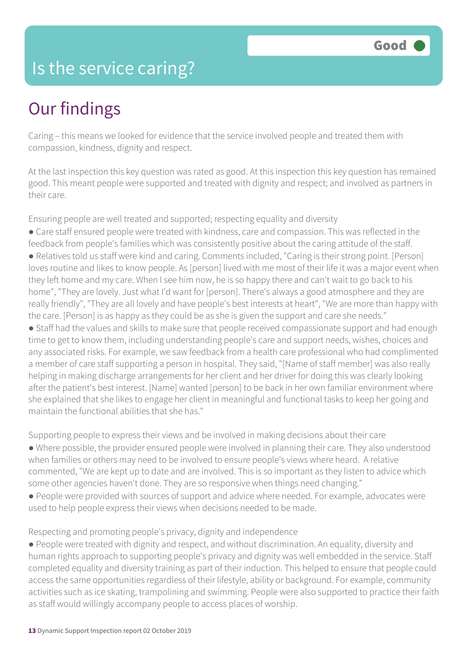### Is the service caring?

### Our findings

Caring – this means we looked for evidence that the service involved people and treated them with compassion, kindness, dignity and respect.

At the last inspection this key question was rated as good. At this inspection this key question has remained good. This meant people were supported and treated with dignity and respect; and involved as partners in their care.

Ensuring people are well treated and supported; respecting equality and diversity

- Care staff ensured people were treated with kindness, care and compassion. This was reflected in the feedback from people's families which was consistently positive about the caring attitude of the staff. ● Relatives told us staff were kind and caring. Comments included, "Caring is their strong point. [Person] loves routine and likes to know people. As [person] lived with me most of their life it was a major event when they left home and my care. When I see him now, he is so happy there and can't wait to go back to his
- home", "They are lovely. Just what I'd want for [person]. There's always a good atmosphere and they are really friendly", "They are all lovely and have people's best interests at heart", "We are more than happy with the care. [Person] is as happy as they could be as she is given the support and care she needs."
- Staff had the values and skills to make sure that people received compassionate support and had enough time to get to know them, including understanding people's care and support needs, wishes, choices and any associated risks. For example, we saw feedback from a health care professional who had complimented a member of care staff supporting a person in hospital. They said, "[Name of staff member] was also really helping in making discharge arrangements for her client and her driver for doing this was clearly looking after the patient's best interest. [Name] wanted [person] to be back in her own familiar environment where she explained that she likes to engage her client in meaningful and functional tasks to keep her going and maintain the functional abilities that she has."

Supporting people to express their views and be involved in making decisions about their care

- Where possible, the provider ensured people were involved in planning their care. They also understood when families or others may need to be involved to ensure people's views where heard. A relative commented, "We are kept up to date and are involved. This is so important as they listen to advice which some other agencies haven't done. They are so responsive when things need changing."
- People were provided with sources of support and advice where needed. For example, advocates were used to help people express their views when decisions needed to be made.

Respecting and promoting people's privacy, dignity and independence

● People were treated with dignity and respect, and without discrimination. An equality, diversity and human rights approach to supporting people's privacy and dignity was well embedded in the service. Staff completed equality and diversity training as part of their induction. This helped to ensure that people could access the same opportunities regardless of their lifestyle, ability or background. For example, community activities such as ice skating, trampolining and swimming. People were also supported to practice their faith as staff would willingly accompany people to access places of worship.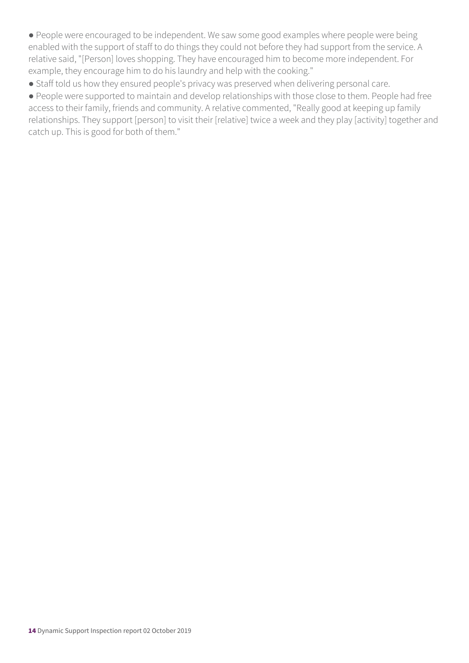● People were encouraged to be independent. We saw some good examples where people were being enabled with the support of staff to do things they could not before they had support from the service. A relative said, "[Person] loves shopping. They have encouraged him to become more independent. For example, they encourage him to do his laundry and help with the cooking."

● Staff told us how they ensured people's privacy was preserved when delivering personal care.

● People were supported to maintain and develop relationships with those close to them. People had free access to their family, friends and community. A relative commented, "Really good at keeping up family relationships. They support [person] to visit their [relative] twice a week and they play [activity] together and catch up. This is good for both of them."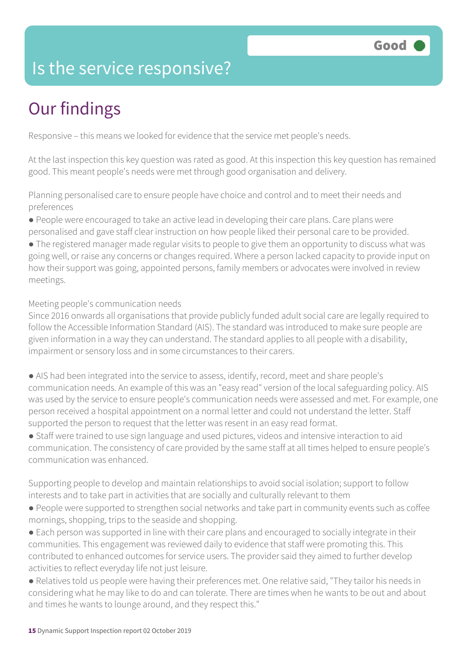### Is the service responsive?

# Our findings

Responsive – this means we looked for evidence that the service met people's needs.

At the last inspection this key question was rated as good. At this inspection this key question has remained good. This meant people's needs were met through good organisation and delivery.

Planning personalised care to ensure people have choice and control and to meet their needs and preferences

● People were encouraged to take an active lead in developing their care plans. Care plans were

personalised and gave staff clear instruction on how people liked their personal care to be provided.

● The registered manager made regular visits to people to give them an opportunity to discuss what was going well, or raise any concerns or changes required. Where a person lacked capacity to provide input on how their support was going, appointed persons, family members or advocates were involved in review meetings.

Meeting people's communication needs

Since 2016 onwards all organisations that provide publicly funded adult social care are legally required to follow the Accessible Information Standard (AIS). The standard was introduced to make sure people are given information in a way they can understand. The standard applies to all people with a disability, impairment or sensory loss and in some circumstances to their carers.

● AIS had been integrated into the service to assess, identify, record, meet and share people's communication needs. An example of this was an "easy read" version of the local safeguarding policy. AIS was used by the service to ensure people's communication needs were assessed and met. For example, one person received a hospital appointment on a normal letter and could not understand the letter. Staff supported the person to request that the letter was resent in an easy read format.

● Staff were trained to use sign language and used pictures, videos and intensive interaction to aid communication. The consistency of care provided by the same staff at all times helped to ensure people's communication was enhanced.

Supporting people to develop and maintain relationships to avoid social isolation; support to follow interests and to take part in activities that are socially and culturally relevant to them

- People were supported to strengthen social networks and take part in community events such as coffee mornings, shopping, trips to the seaside and shopping.
- Each person was supported in line with their care plans and encouraged to socially integrate in their communities. This engagement was reviewed daily to evidence that staff were promoting this. This contributed to enhanced outcomes for service users. The provider said they aimed to further develop activities to reflect everyday life not just leisure.
- Relatives told us people were having their preferences met. One relative said, "They tailor his needs in considering what he may like to do and can tolerate. There are times when he wants to be out and about and times he wants to lounge around, and they respect this."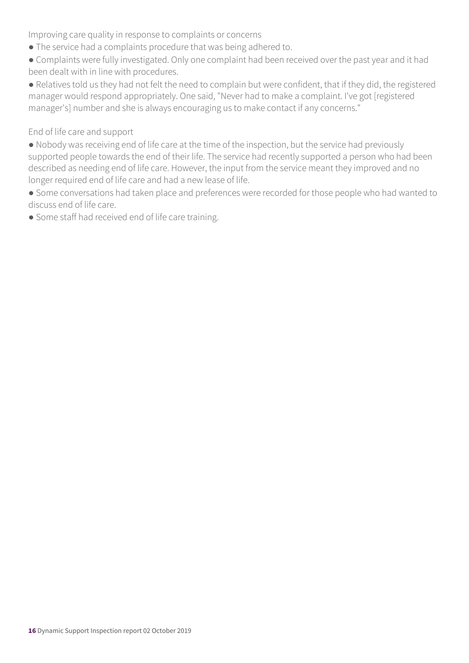Improving care quality in response to complaints or concerns

- The service had a complaints procedure that was being adhered to.
- Complaints were fully investigated. Only one complaint had been received over the past year and it had been dealt with in line with procedures.
- Relatives told us they had not felt the need to complain but were confident, that if they did, the registered manager would respond appropriately. One said, "Never had to make a complaint. I've got [registered manager's] number and she is always encouraging us to make contact if any concerns."

#### End of life care and support

- Nobody was receiving end of life care at the time of the inspection, but the service had previously supported people towards the end of their life. The service had recently supported a person who had been described as needing end of life care. However, the input from the service meant they improved and no longer required end of life care and had a new lease of life.
- Some conversations had taken place and preferences were recorded for those people who had wanted to discuss end of life care.
- Some staff had received end of life care training.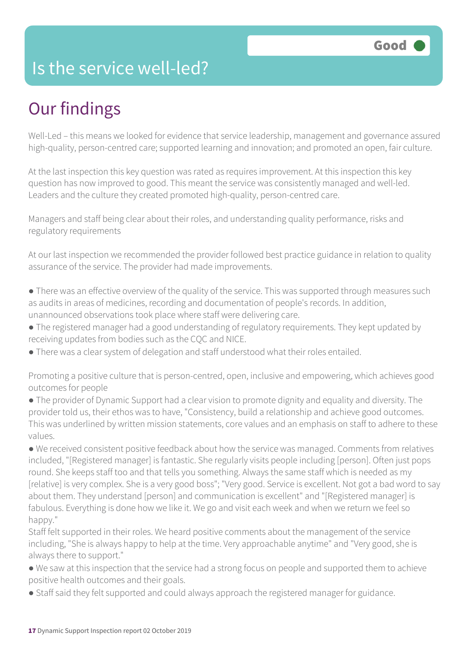### Is the service well-led?

## Our findings

Well-Led – this means we looked for evidence that service leadership, management and governance assured high-quality, person-centred care; supported learning and innovation; and promoted an open, fair culture.

At the last inspection this key question was rated as requires improvement. At this inspection this key question has now improved to good. This meant the service was consistently managed and well-led. Leaders and the culture they created promoted high-quality, person-centred care.

Managers and staff being clear about their roles, and understanding quality performance, risks and regulatory requirements

At our last inspection we recommended the provider followed best practice guidance in relation to quality assurance of the service. The provider had made improvements.

- There was an effective overview of the quality of the service. This was supported through measures such as audits in areas of medicines, recording and documentation of people's records. In addition, unannounced observations took place where staff were delivering care.
- The registered manager had a good understanding of regulatory requirements. They kept updated by receiving updates from bodies such as the CQC and NICE.
- There was a clear system of delegation and staff understood what their roles entailed.

Promoting a positive culture that is person-centred, open, inclusive and empowering, which achieves good outcomes for people

● The provider of Dynamic Support had a clear vision to promote dignity and equality and diversity. The provider told us, their ethos was to have, "Consistency, build a relationship and achieve good outcomes. This was underlined by written mission statements, core values and an emphasis on staff to adhere to these values.

● We received consistent positive feedback about how the service was managed. Comments from relatives included, "[Registered manager] is fantastic. She regularly visits people including [person]. Often just pops round. She keeps staff too and that tells you something. Always the same staff which is needed as my [relative] is very complex. She is a very good boss"; "Very good. Service is excellent. Not got a bad word to say about them. They understand [person] and communication is excellent" and "[Registered manager] is fabulous. Everything is done how we like it. We go and visit each week and when we return we feel so happy."

Staff felt supported in their roles. We heard positive comments about the management of the service including, "She is always happy to help at the time. Very approachable anytime" and "Very good, she is always there to support."

- We saw at this inspection that the service had a strong focus on people and supported them to achieve positive health outcomes and their goals.
- Staff said they felt supported and could always approach the registered manager for guidance.